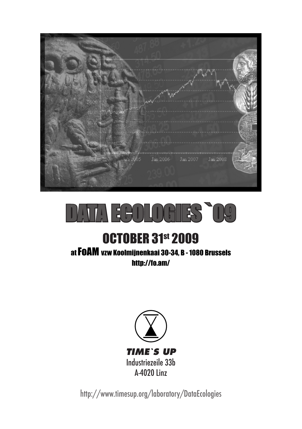

# **EGOLOGIES `09**

# **OCTOBER 31st 2009**

at FoAM vzw Koolmijnenkaai 30-34, B - 1080 Brussels http://fo.am/



http://www.timesup.org/laboratory/DataEcologies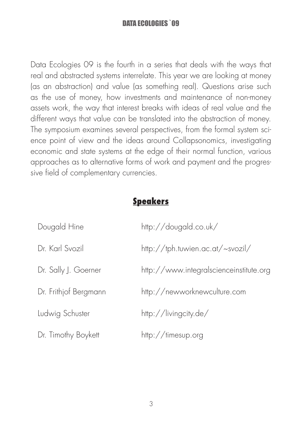Data Ecologies 09 is the fourth in a series that deals with the ways that real and abstracted systems interrelate. This year we are looking at money (as an abstraction) and value (as something real). Questions arise such as the use of money, how investments and maintenance of non-money assets work, the way that interest breaks with ideas of real value and the different ways that value can be translated into the abstraction of money. The symposium examines several perspectives, from the formal system science point of view and the ideas around Collapsonomics, investigating economic and state systems at the edge of their normal function, various approaches as to alternative forms of work and payment and the progressive field of complementary currencies.

#### Speakers

| Dougald Hine          | http://dougald.co.uk/                   |
|-----------------------|-----------------------------------------|
| Dr. Karl Svozil       | http://tph.tuwien.ac.at/~svozil/        |
| Dr. Sally J. Goerner  | http://www.integralscienceinstitute.org |
| Dr. Frithjof Bergmann | http://newworknewculture.com            |
| Ludwig Schuster       | http://livingcity.de/                   |
| Dr. Timothy Boykett   | http://timesup.org                      |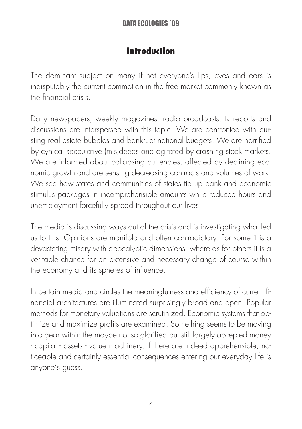#### Introduction

The dominant subject on many if not everyone's lips, eyes and ears is indisputably the current commotion in the free market commonly known as the financial crisis.

Daily newspapers, weekly magazines, radio broadcasts, tv reports and discussions are interspersed with this topic. We are confronted with bursting real estate bubbles and bankrupt national budgets. We are horrified by cynical speculative (mis)deeds and agitated by crashing stock markets. We are informed about collapsing currencies, affected by declining economic growth and are sensing decreasing contracts and volumes of work. We see how states and communities of states tie up bank and economic stimulus packages in incomprehensible amounts while reduced hours and unemployment forcefully spread throughout our lives.

The media is discussing ways out of the crisis and is investigating what led us to this. Opinions are manifold and often contradictory. For some it is a devastating misery with apocalyptic dimensions, where as for others it is a veritable chance for an extensive and necessary change of course within the economy and its spheres of influence.

In certain media and circles the meaningfulness and efficiency of current financial architectures are illuminated surprisingly broad and open. Popular methods for monetary valuations are scrutinized. Economic systems that optimize and maximize profits are examined. Something seems to be moving into gear within the maybe not so glorified but still largely accepted money - capital - assets - value machinery. If there are indeed apprehensible, noticeable and certainly essential consequences entering our everyday life is anyone's guess.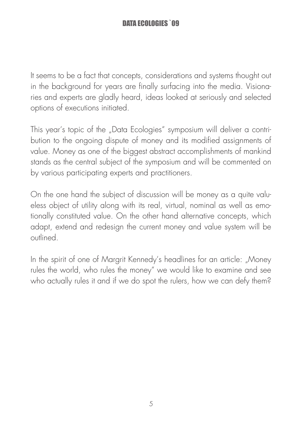It seems to be a fact that concepts, considerations and systems thought out in the background for years are finally surfacing into the media. Visionaries and experts are gladly heard, ideas looked at seriously and selected options of executions initiated.

This year's topic of the "Data Ecologies" symposium will deliver a contribution to the ongoing dispute of money and its modified assignments of value. Money as one of the biggest abstract accomplishments of mankind stands as the central subject of the symposium and will be commented on by various participating experts and practitioners.

On the one hand the subject of discussion will be money as a quite valueless object of utility along with its real, virtual, nominal as well as emotionally constituted value. On the other hand alternative concepts, which adapt, extend and redesign the current money and value system will be outlined.

In the spirit of one of Margrit Kennedy's headlines for an article: "Money rules the world, who rules the money" we would like to examine and see who actually rules it and if we do spot the rulers, how we can defy them?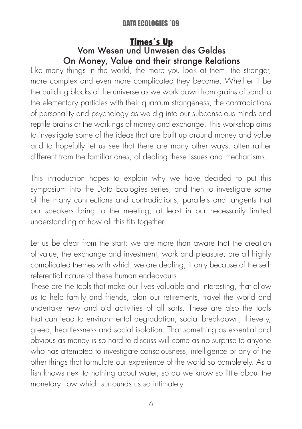#### Times´s Up Vom Wesen und Unwesen des Geldes On Money, Value and their strange Relations

Like many things in the world, the more you look at them, the stranger, more complex and even more complicated they become. Whether it be the building blocks of the universe as we work down from grains of sand to the elementary particles with their quantum strangeness, the contradictions of personality and psychology as we dig into our subconscious minds and reptile brains or the workings of money and exchange. This workshop aims to investigate some of the ideas that are built up around money and value and to hopefully let us see that there are many other ways, often rather different from the familiar ones, of dealing these issues and mechanisms.

This introduction hopes to explain why we have decided to put this symposium into the Data Ecologies series, and then to investigate some of the many connections and contradictions, parallels and tangents that our speakers bring to the meeting, at least in our necessarily limited understanding of how all this fits together.

Let us be clear from the start: we are more than aware that the creation of value, the exchange and investment, work and pleasure, are all highly complicated themes with which we are dealing, if only because of the selfreferential nature of these human endeavours.

These are the tools that make our lives valuable and interesting, that allow us to help family and friends, plan our retirements, travel the world and undertake new and old activities of all sorts. These are also the tools that can lead to environmental degradation, social breakdown, thievery, greed, heartlessness and social isolation. That something as essential and obvious as money is so hard to discuss will come as no surprise to anyone who has attempted to investigate consciousness, intelligence or any of the other things that formulate our experience of the world so completely. As a fish knows next to nothing about water, so do we know so little about the monetary flow which surrounds us so intimately.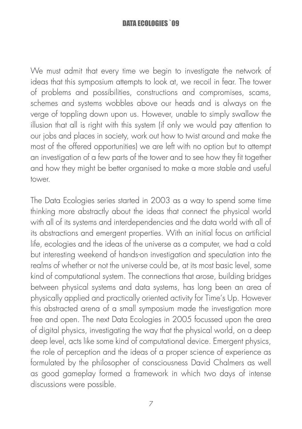We must admit that every time we begin to investigate the network of ideas that this symposium attempts to look at, we recoil in fear. The tower of problems and possibilities, constructions and compromises, scams, schemes and systems wobbles above our heads and is always on the verge of toppling down upon us. However, unable to simply swallow the illusion that all is right with this system (if only we would pay attention to our jobs and places in society, work out how to twist around and make the most of the offered opportunities) we are left with no option but to attempt an investigation of a few parts of the tower and to see how they fit together and how they might be better organised to make a more stable and useful tower.

The Data Ecologies series started in 2003 as a way to spend some time thinking more abstractly about the ideas that connect the physical world with all of its systems and interdependencies and the data world with all of its abstractions and emergent properties. With an initial focus on artificial life, ecologies and the ideas of the universe as a computer, we had a cold but interesting weekend of hands-on investigation and speculation into the realms of whether or not the universe could be, at its most basic level, some kind of computational system. The connections that arose, building bridges between physical systems and data systems, has long been an area of physically applied and practically oriented activity for Time's Up. However this abstracted arena of a small symposium made the investigation more free and open. The next Data Ecologies in 2005 focussed upon the area of digital physics, investigating the way that the physical world, on a deep deep level, acts like some kind of computational device. Emergent physics, the role of perception and the ideas of a proper science of experience as formulated by the philosopher of consciousness David Chalmers as well as good gameplay formed a framework in which two days of intense discussions were possible.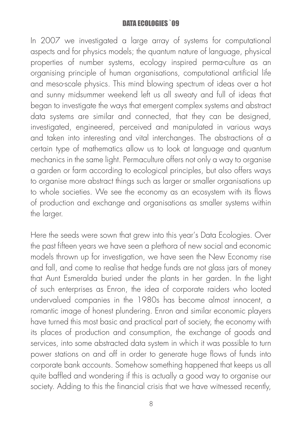In 2007 we investigated a large array of systems for computational aspects and for physics models; the quantum nature of language, physical properties of number systems, ecology inspired perma-culture as an organising principle of human organisations, computational artificial life and meso-scale physics. This mind blowing spectrum of ideas over a hot and sunny midsummer weekend left us all sweaty and full of ideas that began to investigate the ways that emergent complex systems and abstract data systems are similar and connected, that they can be designed, investigated, engineered, perceived and manipulated in various ways and taken into interesting and vital interchanges. The abstractions of a certain type of mathematics allow us to look at language and quantum mechanics in the same light. Permaculture offers not only a way to organise a garden or farm according to ecological principles, but also offers ways to organise more abstract things such as larger or smaller organisations up to whole societies. We see the economy as an ecosystem with its flows of production and exchange and organisations as smaller systems within the larger.

Here the seeds were sown that grew into this year's Data Ecologies. Over the past fifteen years we have seen a plethora of new social and economic models thrown up for investigation, we have seen the New Economy rise and fall, and come to realise that hedge funds are not glass jars of money that Aunt Esmeralda buried under the plants in her garden. In the light of such enterprises as Enron, the idea of corporate raiders who looted undervalued companies in the 1980s has become almost innocent, a romantic image of honest plundering. Enron and similar economic players have turned this most basic and practical part of society, the economy with its places of production and consumption, the exchange of goods and services, into some abstracted data system in which it was possible to turn power stations on and off in order to generate huge flows of funds into corporate bank accounts. Somehow something happened that keeps us all quite baffled and wondering if this is actually a good way to organise our society. Adding to this the financial crisis that we have witnessed recently,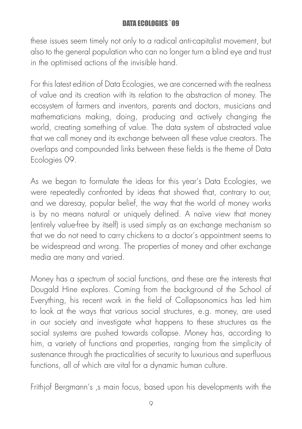these issues seem timely not only to a radical anti-capitalist movement, but also to the general population who can no longer turn a blind eye and trust in the optimised actions of the invisible hand.

For this latest edition of Data Ecologies, we are concerned with the realness of value and its creation with its relation to the abstraction of money. The ecosystem of farmers and inventors, parents and doctors, musicians and mathematicians making, doing, producing and actively changing the world, creating something of value. The data system of abstracted value that we call money and its exchange between all these value creators. The overlaps and compounded links between these fields is the theme of Data Ecologies 09.

As we began to formulate the ideas for this year's Data Ecologies, we were repeatedly confronted by ideas that showed that, contrary to our, and we daresay, popular belief, the way that the world of money works is by no means natural or uniquely defined. A naïve view that money (entirely value-free by itself) is used simply as an exchange mechanism so that we do not need to carry chickens to a doctor's appointment seems to be widespread and wrong. The properties of money and other exchange media are many and varied.

Money has a spectrum of social functions, and these are the interests that Dougald Hine explores. Coming from the background of the School of Everything, his recent work in the field of Collapsonomics has led him to look at the ways that various social structures, e.g. money, are used in our society and investigate what happens to these structures as the social systems are pushed towards collapse. Money has, according to him, a variety of functions and properties, ranging from the simplicity of sustenance through the practicalities of security to luxurious and superfluous functions, all of which are vital for a dynamic human culture.

Frithjof Bergmann's, s main focus, based upon his developments with the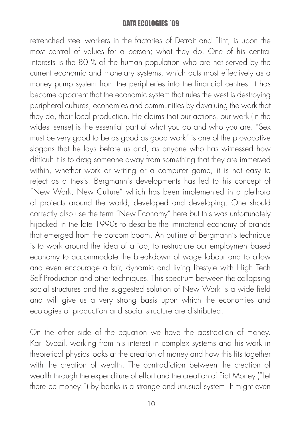retrenched steel workers in the factories of Detroit and Flint, is upon the most central of values for a person; what they do. One of his central interests is the 80 % of the human population who are not served by the current economic and monetary systems, which acts most effectively as a money pump system from the peripheries into the financial centres. It has become apparent that the economic system that rules the west is destroying peripheral cultures, economies and communities by devaluing the work that they do, their local production. He claims that our actions, our work (in the widest sense) is the essential part of what you do and who you are. "Sex must be very good to be as good as good work" is one of the provocative slogans that he lays before us and, as anyone who has witnessed how difficult it is to drag someone away from something that they are immersed within, whether work or writing or a computer game, it is not easy to reject as a thesis. Bergmann's developments has led to his concept of "New Work, New Culture" which has been implemented in a plethora of projects around the world, developed and developing. One should correctly also use the term "New Economy" here but this was unfortunately hijacked in the late 1990s to describe the immaterial economy of brands that emerged from the dotcom boom. An outline of Bergmann's technique is to work around the idea of a job, to restructure our employment-based economy to accommodate the breakdown of wage labour and to allow and even encourage a fair, dynamic and living lifestyle with High Tech Self Production and other techniques. This spectrum between the collapsing social structures and the suggested solution of New Work is a wide field and will give us a very strong basis upon which the economies and ecologies of production and social structure are distributed.

On the other side of the equation we have the abstraction of money. Karl Svozil, working from his interest in complex systems and his work in theoretical physics looks at the creation of money and how this fits together with the creation of wealth. The contradiction between the creation of wealth through the expenditure of effort and the creation of Fiat Money ("Let there be money!") by banks is a strange and unusual system. It might even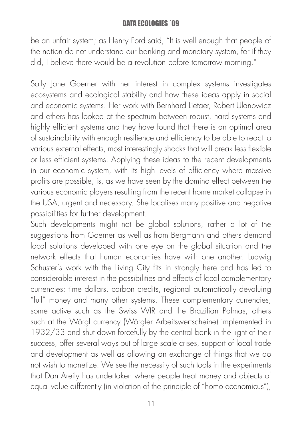be an unfair system; as Henry Ford said, "It is well enough that people of the nation do not understand our banking and monetary system, for if they did, I believe there would be a revolution before tomorrow morning."

Sally Jane Goerner with her interest in complex systems investigates ecosystems and ecological stability and how these ideas apply in social and economic systems. Her work with Bernhard Lietaer, Robert Ulanowicz and others has looked at the spectrum between robust, hard systems and highly efficient systems and they have found that there is an optimal area of sustainability with enough resilience and efficiency to be able to react to various external effects, most interestingly shocks that will break less flexible or less efficient systems. Applying these ideas to the recent developments in our economic system, with its high levels of efficiency where massive profits are possible, is, as we have seen by the domino effect between the various economic players resulting from the recent home market collapse in the USA, urgent and necessary. She localises many positive and negative possibilities for further development.

Such developments might not be global solutions, rather a lot of the suggestions from Goerner as well as from Bergmann and others demand local solutions developed with one eye on the global situation and the network effects that human economies have with one another. Ludwig Schuster's work with the Living City fits in strongly here and has led to considerable interest in the possibilities and effects of local complementary currencies; time dollars, carbon credits, regional automatically devaluing "full" money and many other systems. These complementary currencies, some active such as the Swiss WIR and the Brazilian Palmas, others such at the Wörgl currency (Wörgler Arbeitswertscheine) implemented in 1932/33 and shut down forcefully by the central bank in the light of their success, offer several ways out of large scale crises, support of local trade and development as well as allowing an exchange of things that we do not wish to monetize. We see the necessity of such tools in the experiments that Dan Areily has undertaken where people treat money and objects of equal value differently (in violation of the principle of "homo economicus"),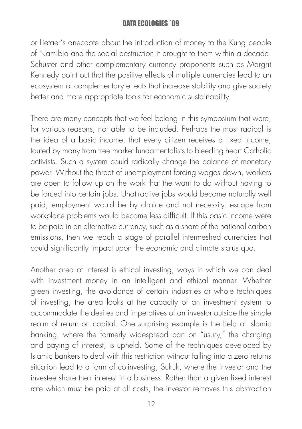or Lietaer's anecdote about the introduction of money to the Kung people of Namibia and the social destruction it brought to them within a decade. Schuster and other complementary currency proponents such as Margrit Kennedy point out that the positive effects of multiple currencies lead to an ecosystem of complementary effects that increase stability and give society better and more appropriate tools for economic sustainability.

There are many concepts that we feel belong in this symposium that were, for various reasons, not able to be included. Perhaps the most radical is the idea of a basic income, that every citizen receives a fixed income, touted by many from free market fundamentalists to bleeding heart Catholic activists. Such a system could radically change the balance of monetary power. Without the threat of unemployment forcing wages down, workers are open to follow up on the work that the want to do without having to be forced into certain jobs. Unattractive jobs would become naturally well paid, employment would be by choice and not necessity, escape from workplace problems would become less difficult. If this basic income were to be paid in an alternative currency, such as a share of the national carbon emissions, then we reach a stage of parallel intermeshed currencies that could significantly impact upon the economic and climate status quo.

Another area of interest is ethical investing, ways in which we can deal with investment money in an intelligent and ethical manner. Whether green investing, the avoidance of certain industries or whole techniques of investing, the area looks at the capacity of an investment system to accommodate the desires and imperatives of an investor outside the simple realm of return on capital. One surprising example is the field of Islamic banking, where the formerly widespread ban on "usury," the charging and paying of interest, is upheld. Some of the techniques developed by Islamic bankers to deal with this restriction without falling into a zero returns situation lead to a form of co-investing, Sukuk, where the investor and the investee share their interest in a business. Rather than a given fixed interest rate which must be paid at all costs, the investor removes this abstraction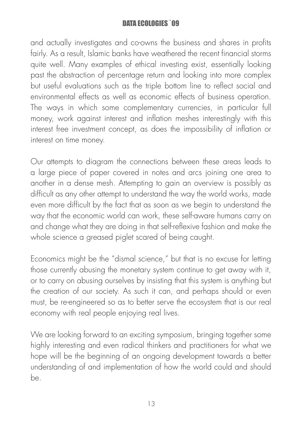and actually investigates and co-owns the business and shares in profits fairly. As a result, Islamic banks have weathered the recent financial storms quite well. Many examples of ethical investing exist, essentially looking past the abstraction of percentage return and looking into more complex but useful evaluations such as the triple bottom line to reflect social and environmental effects as well as economic effects of business operation. The ways in which some complementary currencies, in particular full money, work against interest and inflation meshes interestingly with this interest free investment concept, as does the impossibility of inflation or interest on time money.

Our attempts to diagram the connections between these areas leads to a large piece of paper covered in notes and arcs joining one area to another in a dense mesh. Attempting to gain an overview is possibly as difficult as any other attempt to understand the way the world works, made even more difficult by the fact that as soon as we begin to understand the way that the economic world can work, these self-aware humans carry on and change what they are doing in that self-reflexive fashion and make the whole science a greased piglet scared of being caught.

Economics might be the "dismal science," but that is no excuse for letting those currently abusing the monetary system continue to get away with it, or to carry on abusing ourselves by insisting that this system is anything but the creation of our society. As such it can, and perhaps should or even must, be re-engineered so as to better serve the ecosystem that is our real economy with real people enjoying real lives.

We are looking forward to an exciting symposium, bringing together some highly interesting and even radical thinkers and practitioners for what we hope will be the beginning of an ongoing development towards a better understanding of and implementation of how the world could and should be.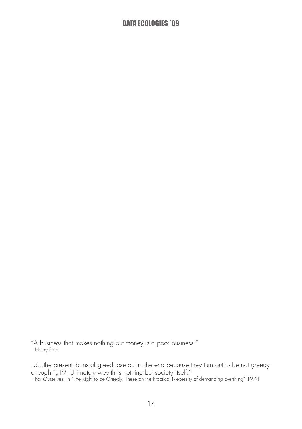"A business that makes nothing but money is a poor business." - Henry Ford

"5:..the present forms of greed lose out in the end because they turn out to be not greedy enough."" 19: Ultimately wealth is nothing but society itself."<br>- For Ourselves, in "The Right to be Greedy: These on the Practical Necessity of demanding Everthing" 1974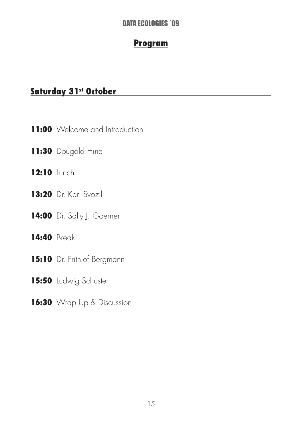#### Program

#### Saturday 31st October

- **11:00** Welcome and Introduction
- 11:30 Dougald Hine
- 12:10 Lunch
- 13:20 Dr. Karl Svozil
- 14:00 Dr. Sally J. Goerner

#### 14:40 Break

- 15:10 Dr. Frithjof Bergmann
- 15:50 Ludwig Schuster
- 16:30 Wrap Up & Discussion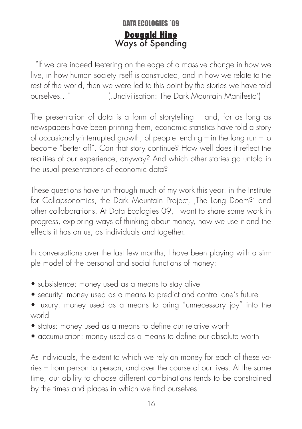#### DATA ECOLOGIES `09 Dougald Hine Ways of Spending

 "If we are indeed teetering on the edge of a massive change in how we live, in how human society itself is constructed, and in how we relate to the rest of the world, then we were led to this point by the stories we have told ourselves..." ('Uncivilisation: The Dark Mountain Manifesto')

The presentation of data is a form of storytelling – and, for as long as newspapers have been printing them, economic statistics have told a story of occasionally-interrupted growth, of people tending – in the long run – to become "better off". Can that story continue? How well does it reflect the realities of our experience, anyway? And which other stories go untold in the usual presentations of economic data?

These questions have run through much of my work this year: in the Institute for Collapsonomics, the Dark Mountain Project, The Long Doom?' and other collaborations. At Data Ecologies 09, I want to share some work in progress, exploring ways of thinking about money, how we use it and the effects it has on us, as individuals and together.

In conversations over the last few months, I have been playing with a simple model of the personal and social functions of money:

- subsistence: money used as a means to stay alive
- security: money used as a means to predict and control one's future
- luxury: money used as a means to bring "unnecessary joy" into the world
- status: money used as a means to define our relative worth
- accumulation: money used as a means to define our absolute worth

As individuals, the extent to which we rely on money for each of these varies – from person to person, and over the course of our lives. At the same time, our ability to choose different combinations tends to be constrained by the times and places in which we find ourselves.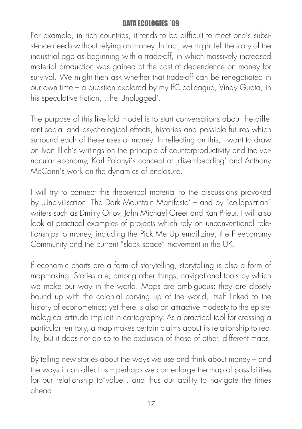For example, in rich countries, it tends to be difficult to meet one's subsistence needs without relying on money. In fact, we might tell the story of the industrial age as beginning with a trade-off, in which massively increased material production was gained at the cost of dependence on money for survival. We might then ask whether that trade-off can be renegotiated in our own time – a question explored by my IfC colleague, Vinay Gupta, in his speculative fiction, The Unplugged'.

The purpose of this five-fold model is to start conversations about the different social and psychological effects, histories and possible futures which surround each of these uses of money. In reflecting on this, I want to draw on Ivan Illich's writings on the principle of counterproductivity and the vernacular economy, Karl Polanyi's concept of , disembedding' and Anthony McCann's work on the dynamics of enclosure.

I will try to connect this theoretical material to the discussions provoked by 'Uncivilisation: The Dark Mountain Manifesto' – and by "collapsitrian" writers such as Dmitry Orlov, John Michael Greer and Ran Prieur. I will also look at practical examples of projects which rely on unconventional relationships to money, including the Pick Me Up email-zine, the Freeconomy Community and the current "slack space" movement in the UK.

If economic charts are a form of storytelling, storytelling is also a form of mapmaking. Stories are, among other things, navigational tools by which we make our way in the world. Maps are ambiguous: they are closely bound up with the colonial carving up of the world, itself linked to the history of econometrics; yet there is also an attractive modesty to the epistemological attitude implicit in cartography. As a practical tool for crossing a particular territory, a map makes certain claims about its relationship to reality, but it does not do so to the exclusion of those of other, different maps.

By telling new stories about the ways we use and think about money – and the ways it can affect us – perhaps we can enlarge the map of possibilities for our relationship to"value", and thus our ability to navigate the times ahead.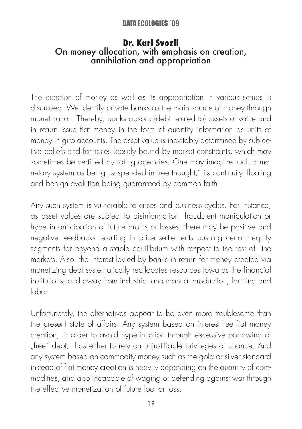#### Dr. Karl Svozil On money allocation, with emphasis on creation, annihilation and appropriation

The creation of money as well as its appropriation in various setups is discussed. We identify private banks as the main source of money through monetization. Thereby, banks absorb (debt related to) assets of value and in return issue fiat money in the form of quantity information as units of money in giro accounts. The asset value is inevitably determined by subjective beliefs and fantasies loosely bound by market constraints, which may sometimes be certified by rating agencies. One may imagine such a monetary system as being "suspended in free thought;" its continuity, floating and benign evolution being guaranteed by common faith.

Any such system is vulnerable to crises and business cycles. For instance, as asset values are subject to disinformation, fraudulent manipulation or hype in anticipation of future profits or losses, there may be positive and negative feedbacks resulting in price settlements pushing certain equity segments far beyond a stable equilibrium with respect to the rest of the markets. Also, the interest levied by banks in return for money created via monetizing debt systematically reallocates resources towards the financial institutions, and away from industrial and manual production, farming and labor.

Unfortunately, the alternatives appear to be even more troublesome than the present state of affairs. Any system based on interest-free fiat money creation, in order to avoid hyperinflation through excessive borrowing of "free" debt, has either to rely on unjustifiable privileges or chance. And any system based on commodity money such as the gold or silver standard instead of fiat money creation is heavily depending on the quantity of commodities, and also incapable of waging or defending against war through the effective monetization of future loot or loss.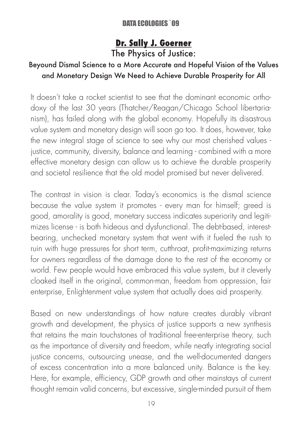#### Dr. Sally J. Goerner The Physics of Justice:

#### Beyound Dismal Science to a More Accurate and Hopeful Vision of the Values and Monetary Design We Need to Achieve Durable Prosperity for All

It doesn't take a rocket scientist to see that the dominant economic orthodoxy of the last 30 years (Thatcher/Reagan/Chicago School libertarianism), has failed along with the global economy. Hopefully its disastrous value system and monetary design will soon go too. It does, however, take the new integral stage of science to see why our most cherished values justice, community, diversity, balance and learning - combined with a more effective monetary design can allow us to achieve the durable prosperity and societal resilience that the old model promised but never delivered.

The contrast in vision is clear. Today's economics is the dismal science because the value system it promotes - every man for himself; greed is good, amorality is good, monetary success indicates superiority and legitimizes license - is both hideous and dysfunctional. The debt-based, interestbearing, unchecked monetary system that went with it fueled the rush to ruin with huge pressures for short term, cutthroat, profit-maximizing returns for owners regardless of the damage done to the rest of the economy or world. Few people would have embraced this value system, but it cleverly cloaked itself in the original, common-man, freedom from oppression, fair enterprise, Enlightenment value system that actually does aid prosperity.

Based on new understandings of how nature creates durably vibrant growth and development, the physics of justice supports a new synthesis that retains the main touchstones of traditional free-enterprise theory, such as the importance of diversity and freedom, while neatly integrating social justice concerns, outsourcing unease, and the well-documented dangers of excess concentration into a more balanced unity. Balance is the key. Here, for example, efficiency, GDP growth and other mainstays of current thought remain valid concerns, but excessive, single-minded pursuit of them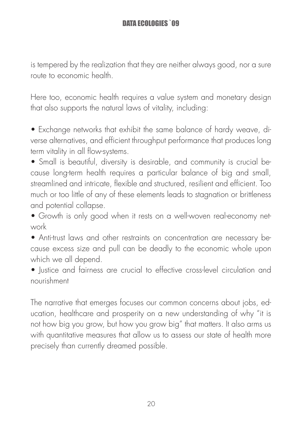is tempered by the realization that they are neither always good, nor a sure route to economic health.

Here too, economic health requires a value system and monetary design that also supports the natural laws of vitality, including:

• Exchange networks that exhibit the same balance of hardy weave, diverse alternatives, and efficient throughput performance that produces long term vitality in all flow-systems.

• Small is beautiful, diversity is desirable, and community is crucial because long-term health requires a particular balance of big and small, streamlined and intricate, flexible and structured, resilient and efficient. Too much or too little of any of these elements leads to stagnation or brittleness and potential collapse.

• Growth is only good when it rests on a well-woven real-economy network

• Anti-trust laws and other restraints on concentration are necessary because excess size and pull can be deadly to the economic whole upon which we all depend.

• Justice and fairness are crucial to effective cross-level circulation and nourishment

The narrative that emerges focuses our common concerns about jobs, education, healthcare and prosperity on a new understanding of why "it is not how big you grow, but how you grow big" that matters. It also arms us with quantitative measures that allow us to assess our state of health more precisely than currently dreamed possible.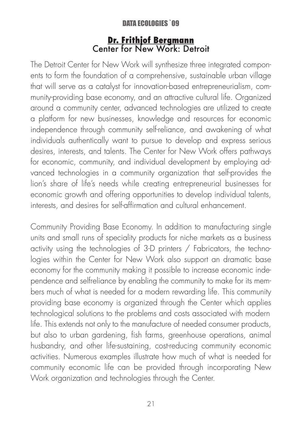#### Dr. Frithjof Bergmann Center for New Work: Detroit

The Detroit Center for New Work will synthesize three integrated components to form the foundation of a comprehensive, sustainable urban village that will serve as a catalyst for innovation-based entrepreneurialism, community-providing base economy, and an attractive cultural life. Organized around a community center, advanced technologies are utilized to create a platform for new businesses, knowledge and resources for economic independence through community self-reliance, and awakening of what individuals authentically want to pursue to develop and express serious desires, interests, and talents. The Center for New Work offers pathways for economic, community, and individual development by employing advanced technologies in a community organization that self-provides the lion's share of life's needs while creating entrepreneurial businesses for economic growth and offering opportunities to develop individual talents, interests, and desires for self-affirmation and cultural enhancement.

Community Providing Base Economy. In addition to manufacturing single units and small runs of speciality products for niche markets as a business activity using the technologies of 3-D printers / Fabricators, the technologies within the Center for New Work also support an dramatic base economy for the community making it possible to increase economic independence and selfreliance by enabling the community to make for its members much of what is needed for a modern rewarding life. This community providing base economy is organized through the Center which applies technological solutions to the problems and costs associated with modern life. This extends not only to the manufacture of needed consumer products, but also to urban gardening, fish farms, greenhouse operations, animal husbandry, and other life-sustaining, cost-reducing community economic activities. Numerous examples illustrate how much of what is needed for community economic life can be provided through incorporating New Work organization and technologies through the Center.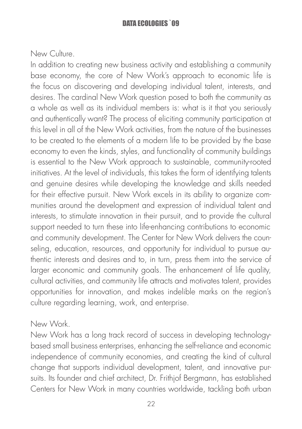New Culture.

In addition to creating new business activity and establishing a community base economy, the core of New Work's approach to economic life is the focus on discovering and developing individual talent, interests, and desires. The cardinal New Work question posed to both the community as a whole as well as its individual members is: what is it that you seriously and authentically want? The process of eliciting community participation at this level in all of the New Work activities, from the nature of the businesses to be created to the elements of a modern life to be provided by the base economy to even the kinds, styles, and functionality of community buildings is essential to the New Work approach to sustainable, community-rooted initiatives. At the level of individuals, this takes the form of identifying talents and genuine desires while developing the knowledge and skills needed for their effective pursuit. New Work excels in its ability to organize communities around the development and expression of individual talent and interests, to stimulate innovation in their pursuit, and to provide the cultural support needed to turn these into life-enhancing contributions to economic and community development. The Center for New Work delivers the counseling, education, resources, and opportunity for individual to pursue authentic interests and desires and to, in turn, press them into the service of larger economic and community goals. The enhancement of life quality, cultural activities, and community life attracts and motivates talent, provides opportunities for innovation, and makes indelible marks on the region's culture regarding learning, work, and enterprise.

#### New Work.

New Work has a long track record of success in developing technologybased small business enterprises, enhancing the self-reliance and economic independence of community economies, and creating the kind of cultural change that supports individual development, talent, and innovative pursuits. Its founder and chief architect, Dr. Frithjof Bergmann, has established Centers for New Work in many countries worldwide, tackling both urban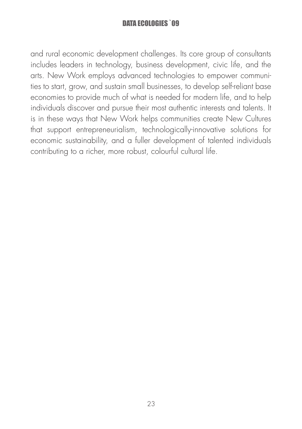and rural economic development challenges. Its core group of consultants includes leaders in technology, business development, civic life, and the arts. New Work employs advanced technologies to empower communities to start, grow, and sustain small businesses, to develop self-reliant base economies to provide much of what is needed for modern life, and to help individuals discover and pursue their most authentic interests and talents. It is in these ways that New Work helps communities create New Cultures that support entrepreneurialism, technologically-innovative solutions for economic sustainability, and a fuller development of talented individuals contributing to a richer, more robust, colourful cultural life.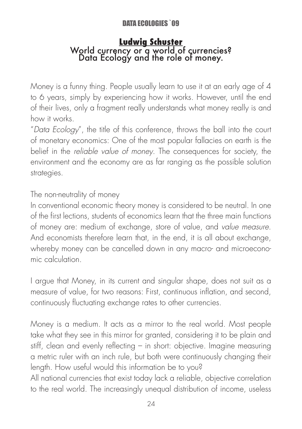## Ludwig Schuster World currency or a world of currencies? Data Ecology and the role of money.

Money is a funny thing. People usually learn to use it at an early age of 4 to 6 years, simply by experiencing how it works. However, until the end of their lives, only a fragment really understands what money really is and how it works.

"Data Ecology", the title of this conference, throws the ball into the court of monetary economics: One of the most popular fallacies on earth is the belief in the reliable value of money. The consequences for society, the environment and the economy are as far ranging as the possible solution strategies.

The non-neutrality of money

In conventional economic theory money is considered to be neutral. In one of the first lections, students of economics learn that the three main functions of money are: medium of exchange, store of value, and value measure. And economists therefore learn that, in the end, it is all about exchange, whereby money can be cancelled down in any macro- and microeconomic calculation.

I argue that Money, in its current and singular shape, does not suit as a measure of value, for two reasons: First, continuous inflation, and second, continuously fluctuating exchange rates to other currencies.

Money is a medium. It acts as a mirror to the real world. Most people take what they see in this mirror for granted, considering it to be plain and stiff, clean and evenly reflecting – in short: objective. Imagine measuring a metric ruler with an inch rule, but both were continuously changing their length. How useful would this information be to you?

All national currencies that exist today lack a reliable, objective correlation to the real world. The increasingly unequal distribution of income, useless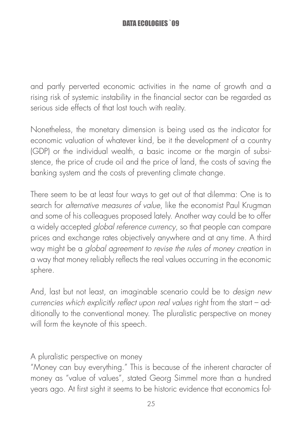and partly perverted economic activities in the name of growth and a rising risk of systemic instability in the financial sector can be regarded as serious side effects of that lost touch with reality.

Nonetheless, the monetary dimension is being used as the indicator for economic valuation of whatever kind, be it the development of a country (GDP) or the individual wealth, a basic income or the margin of subsistence, the price of crude oil and the price of land, the costs of saving the banking system and the costs of preventing climate change.

There seem to be at least four ways to get out of that dilemma: One is to search for alternative measures of value, like the economist Paul Krugman and some of his colleagues proposed lately. Another way could be to offer a widely accepted global reference currency, so that people can compare prices and exchange rates objectively anywhere and at any time. A third way might be a global agreement to revise the rules of money creation in a way that money reliably reflects the real values occurring in the economic sphere.

And, last but not least, an imaginable scenario could be to design new currencies which explicitly reflect upon real values right from the start – additionally to the conventional money. The pluralistic perspective on money will form the keynote of this speech.

A pluralistic perspective on money

"Money can buy everything." This is because of the inherent character of money as "value of values", stated Georg Simmel more than a hundred years ago. At first sight it seems to be historic evidence that economics fol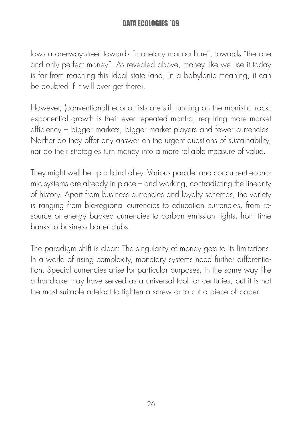lows a one-way-street towards "monetary monoculture", towards "the one and only perfect money". As revealed above, money like we use it today is far from reaching this ideal state (and, in a babylonic meaning, it can be doubted if it will ever get there).

However, (conventional) economists are still running on the monistic track: exponential growth is their ever repeated mantra, requiring more market efficiency – bigger markets, bigger market players and fewer currencies. Neither do they offer any answer on the urgent questions of sustainability, nor do their strategies turn money into a more reliable measure of value.

They might well be up a blind alley. Various parallel and concurrent economic systems are already in place – and working, contradicting the linearity of history. Apart from business currencies and loyalty schemes, the variety is ranging from bio-regional currencies to education currencies, from resource or energy backed currencies to carbon emission rights, from time banks to business barter clubs.

The paradigm shift is clear: The singularity of money gets to its limitations. In a world of rising complexity, monetary systems need further differentiation. Special currencies arise for particular purposes, in the same way like a hand-axe may have served as a universal tool for centuries, but it is not the most suitable artefact to tighten a screw or to cut a piece of paper.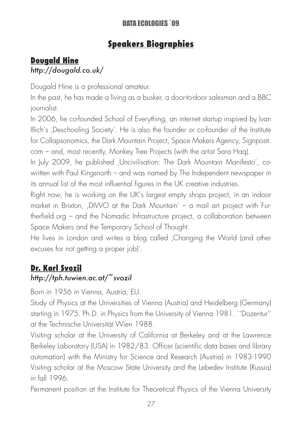### Speakers Biographies

#### Dougald Hine

#### *http://dougald.co.uk/*

Dougald Hine is a professional amateur.

In the past, he has made a living as a busker, a door-to-door salesman and a BBC journalist.

In 2006, he co-founded School of Everything, an internet startup inspired by Ivan Illich's ,Deschooling Society'. He is also the founder or co-founder of the Institute for Collapsonomics, the Dark Mountain Project, Space Makers Agency, Signpostr. com – and, most recently, Monkey Tree Projects (with the artist Sara Haq).

In July 2009, he published 'Uncivilisation: The Dark Mountain Manifesto', cowritten with Paul Kingsnorth – and was named by The Independent newspaper in its annual list of the most influential figures in the UK creative industries.

Right now, he is working on the UK's largest empty shops project, in an indoor market in Brixton,  $\Box$ DIWO at the Dark Mountain' – a mail art project with Furtherfield.org – and the Nomadic Infrastructure project, a collaboration between Space Makers and the Temporary School of Thought.

He lives in London and writes a blog called Changing the World (and other excuses for not getting a proper job)'.

#### Dr. Karl Svozil

#### *http://tph.tuwien.ac.at/~svozil*

Born in 1956 in Vienna, Austria, EU.

Study of Physics at the Universities of Vienna (Austria) and Heidelberg (Germany) starting in 1975. Ph.D. in Physics from the University of Vienna 1981. ``Dozentur'' at the Technische Universität Wien 1988.

Visiting scholar at the University of California at Berkeley and at the Lawrence Berkeley Laboratory (USA) in 1982/83. Officer (scientific data bases and library automation) with the Ministry for Science and Research (Austria) in 1983-1990 Visiting scholar at the Moscow State University and the Lebedev Institute (Russia) in fall 1996.

Permanent position at the Institute for Theoretical Physics of the Vienna University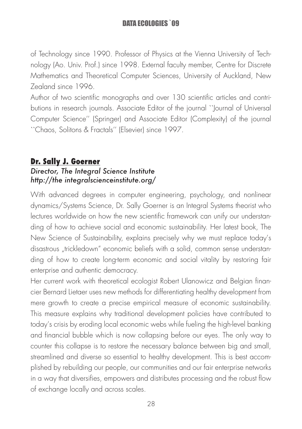of Technology since 1990. Professor of Physics at the Vienna University of Technology (Ao. Univ. Prof.) since 1998. External faculty member, Centre for Discrete Mathematics and Theoretical Computer Sciences, University of Auckland, New Zealand since 1996.

Author of two scientific monographs and over 130 scientific articles and contributions in research journals. Associate Editor of the journal ``Journal of Universal Computer Science'' (Springer) and Associate Editor (Complexity) of the journal ``Chaos, Solitons & Fractals'' (Elsevier) since 1997.

#### Dr. Sally J. Goerner

#### *Director, The Integral Science Institute http://the integralscienceinstitute.org/*

With advanced degrees in computer engineering, psychology, and nonlinear dynamics/Systems Science, Dr. Sally Goerner is an Integral Systems theorist who lectures worldwide on how the new scientific framework can unify our understanding of how to achieve social and economic sustainability. Her latest book, The New Science of Sustainability, explains precisely why we must replace today's disastrous "trickledown" economic beliefs with a solid, common sense understanding of how to create long-term economic and social vitality by restoring fair enterprise and authentic democracy.

Her current work with theoretical ecologist Robert Ulanowicz and Belgian financier Bernard Lietaer uses new methods for differentiating healthy development from mere growth to create a precise empirical measure of economic sustainability. This measure explains why traditional development policies have contributed to today's crisis by eroding local economic webs while fueling the high-level banking and financial bubble which is now collapsing before our eyes. The only way to counter this collapse is to restore the necessary balance between big and small, streamlined and diverse so essential to healthy development. This is best accomplished by rebuilding our people, our communities and our fair enterprise networks in a way that diversifies, empowers and distributes processing and the robust flow of exchange locally and across scales.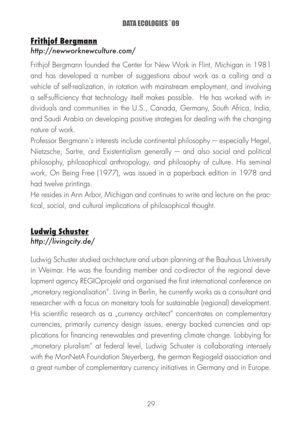#### Frithjof Bergmann

#### *http://newworknewculture.com/*

Frithjof Bergmann founded the Center for New Work in Flint, Michigan in 1981 and has developed a number of suggestions about work as a calling and a vehicle of self-realization, in rotation with mainstream employment, and involving a self-sufficiency that technology itself makes possible. He has worked with individuals and communities in the U.S., Canada, Germany, South Africa, India, and Saudi Arabia on developing positive strategies for dealing with the changing nature of work.

Professor Bergmann's interests include continental philosophy – especially Hegel, Nietzsche, Sartre, and Existentialism generally  $-$  and also social and political philosophy, philosophical anthropology, and philosophy of culture. His seminal work, On Being Free (1977), was issued in a paperback edition in 1978 and had twelve printings.

He resides in Ann Arbor, Michigan and continues to write and lecture on the practical, social, and cultural implications of philosophical thought.

#### Ludwig Schuster *http://livingcity.de/*

Ludwig Schuster studied architecture and urban planning at the Bauhaus University in Weimar. He was the founding member and co-director of the regional development agency REGIOprojekt and organised the first international conference on "monetary regionalisation". Living in Berlin, he currently works as a consultant and researcher with a focus on monetary tools for sustainable (regional) development. His scientific research as a "currency architect" concentrates on complementary currencies, primarily currency design issues, energy backed currencies and applications for financing renewables and preventing climate change. Lobbying for "monetary pluralism" at federal level, Ludwig Schuster is collaborating intensely with the MonNetA Foundation Steyerberg, the german Regiogeld association and a great number of complementary currency initiatives in Germany and in Europe.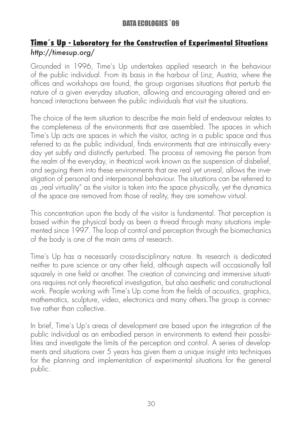#### Time´s Up - Laboratory for the Construction of Experimental Situations *http://timesup.org/*

Grounded in 1996, Time's Up undertakes applied research in the behaviour of the public individual. From its basis in the harbour of Linz, Austria, where the offices and workshops are found, the group organises situations that perturb the nature of a given everyday situation, allowing and encouraging altered and enhanced interactions between the public individuals that visit the situations.

The choice of the term situation to describe the main field of endeavour relates to the completeness of the environments that are assembled. The spaces in which Time's Up acts are spaces in which the visitor, acting in a public space and thus referred to as the public individual, finds environments that are intrinsically everyday yet subtly and distinctly perturbed. The process of removing the person from the realm of the everyday, in theatrical work known as the suspension of disbelief, and seguing them into these environments that are real yet unreal, allows the investigation of personal and interpersonal behaviour. The situations can be referred to as "real virtuality" as the visitor is taken into the space physically, yet the dynamics of the space are removed from those of reality, they are somehow virtual.

This concentration upon the body of the visitor is fundamental. That perception is based within the physical body as been a thread through many situations implemented since 1997. The loop of control and perception through the biomechanics of the body is one of the main arms of research.

Time's Up has a necessarily cross-disciplinary nature. Its research is dedicated neither to pure science or any other field, although aspects will occasionally fall squarely in one field or another. The creation of convincing and immersive situations requires not only theoretical investigation, but also aesthetic and constructional work. People working with Time's Up come from the fields of acoustics, graphics, mathematics, sculpture, video, electronics and many others.The group is connective rather than collective.

In brief, Time's Up's areas of development are based upon the integration of the public individual as an embodied person in environments to extend their possibilities and investigate the limits of the perception and control. A series of developments and situations over 5 years has given them a unique insight into techniques for the planning and implementation of experimental situations for the general public.